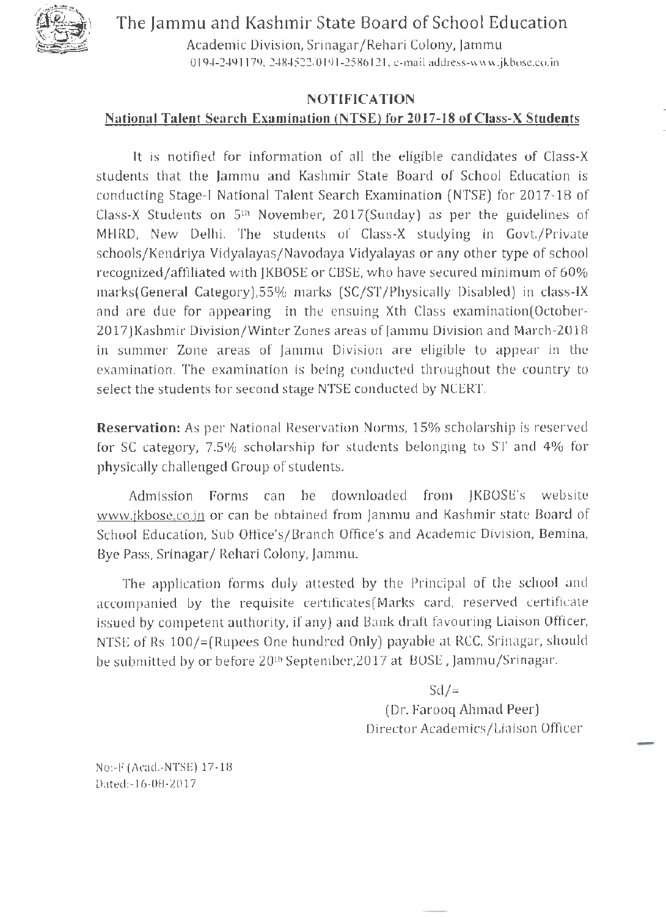The Jammu and Kashmir State Board of School Education



Academic Division, Srinagar /Rehari Colony, Jammu 0194-2491179,2484522/0191-2586121, e-mail address-www.jkbose.co.in

# NOTIFICATION National Talent Search Examination (NTSE) for 2017-18 of Class-X Students

It is notified for information of all the eligible candidates of Class-X students that the Jammu and Kashmir State Board of School Education is conducting Stage-I National Talent Search Examination (NTSE) for 2017-18 of Class-X Students on Sth November, 2017(Sunday) as per the guidelines of MHRD, New Delhi. The students of Class-X studying in Govt./Private schools/Kendriya Vidyalayas /Navodaya Vidyalayas or any other type of school recognized/affiliated with JKBOSE or CBSE, who have secured minimum of 60% marks(General Category),SS% marks (SC/ST /Physically Disabled) in class-IX and are due for appearing in the ensuing Xth Class examination(October-2017)Kashmir Division/Winter Zones areas of [arnrnu Division and March-2018 in summer Zone areas of [amrnu Division are eligible to appear in the examination. The examination is being conducted throughout the country to select the students for second stage NTSE conducted by NCERT.

Reservation: As per National Reservation Norms, 15% scholarship is reserved for SC category, 7.S% scholarship for students belonging to ST and 4% for physically challenged Group of students.

Admission Forms can be downloaded from JKBOSE's website www.jkbose.co.in or can be obtained from Jammu and Kashmir state Board of School Education, Sub Office's/Branch Office's and Academic Division, Bemina, Bye Pass, Srinagar / Rehari Colony, Jammu.

The application forms duly attested by the Principal of the school and accompanied by the requisite certificates(Marks card, reserved certificate issued by competent authority, if any) and Bank draft favouring Liaison Officer, NTSE of Rs 100/=(Rupees One hundred Only) payable at RCC, Srinagar, should be submitted by or before 20<sup>th</sup> September, 2017 at BOSE, Jammu/Srinagar.

> $Sd/=$ (Dr. Farooq Ahmad Peer) Director Academics/Liaison Officer

No:-F (Acad.-NTSE) 17-18 Dated:-16-08-2017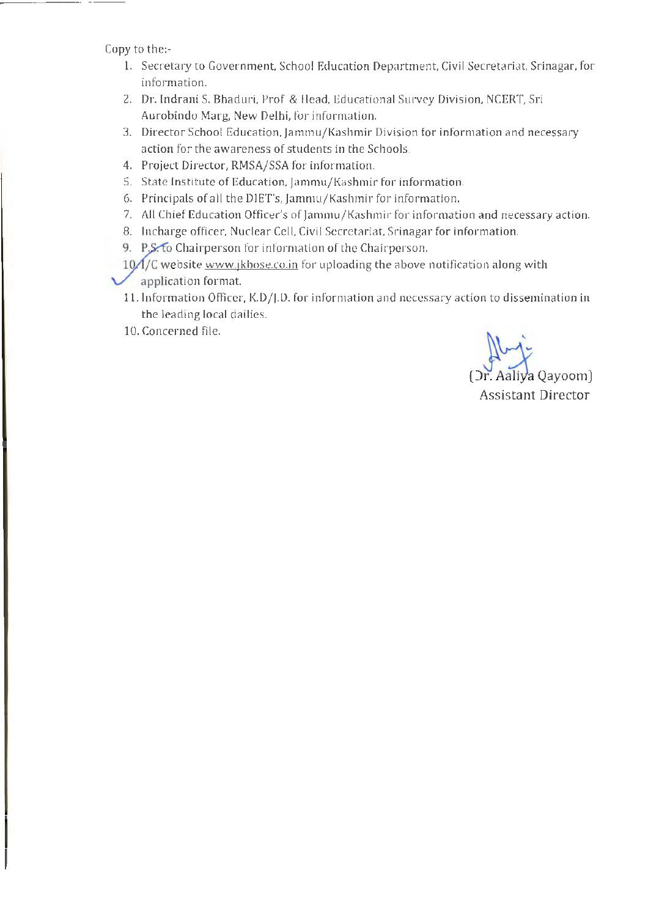Copy to the:-

- 1. Secretary to Government, School Education Department, Civil Secretariat, Srinagar, for information.
- 2. Dr. Indrani S. Bhaduri, Prof & Head, Educational Survey Division, NCERT, Sri Aurobindo Marg. New Delhi, for information.
- 3. Director School Education, Jammu/Kashmir Division for information and necessary action for the awareness of students in the Schools.
- 4. Project Director, RMSA/SSA for information.
- 5. State Institute of Education, [amrnu/Kashmir for information.
- 6. Principals of all the DIET's, [amrnu/Kashmir for information.
- 7. All Chief Education Officer's of [arnmu/Kashmir for information and necessary action.
- 8. Incharge officer, Nuclear Cell, Civil Secretariat, Srinagar for information.
- 9. P.S. to Chairperson for information of the Chairperson.
- 10 / /C website www.jkbose.co.in for uploading the above notification along with
- pplication format.
	- 11. Information Officer, K.D/J.D. for information and necessary action to dissemination in the leading local dailies.
	- 10. Concerned file.

(Dr. Aaliya Qayoom) Assistant Director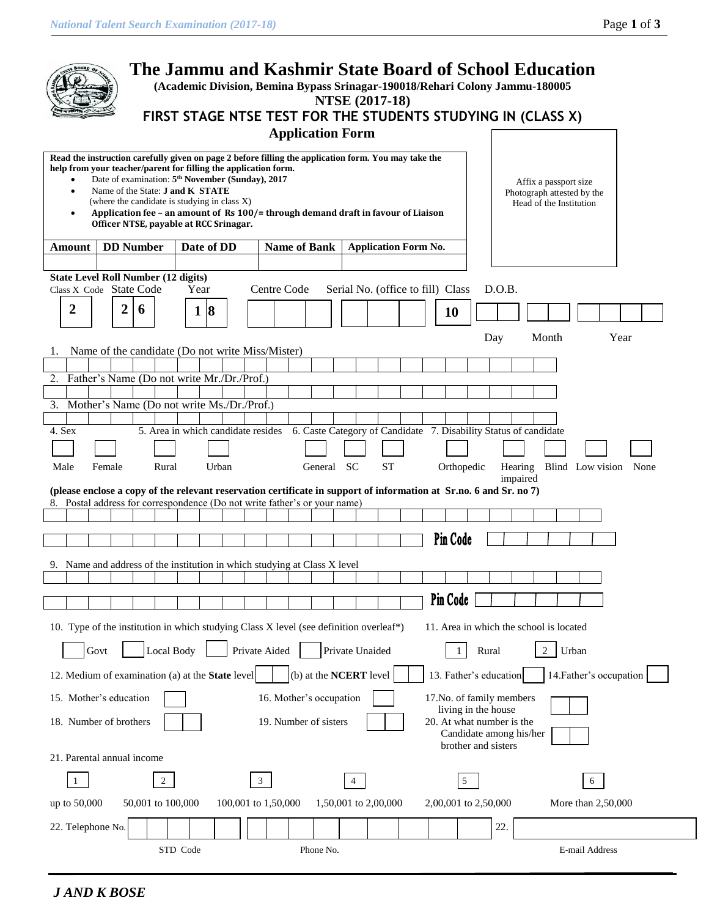|                                                                                                                                                                                                   |        |   |                  |                                  |          |            |                                                                                                                                                        |                |               |             | <b>Application Form</b>                                                           | <b>NTSE (2017-18)</b> |           |                             | The Jammu and Kashmir State Board of School Education<br>(Academic Division, Bemina Bypass Srinagar-190018/Rehari Colony Jammu-180005<br>FIRST STAGE NTSE TEST FOR THE STUDENTS STUDYING IN (CLASS X) |        |                     |       |                                                                                |                         |      |  |
|---------------------------------------------------------------------------------------------------------------------------------------------------------------------------------------------------|--------|---|------------------|----------------------------------|----------|------------|--------------------------------------------------------------------------------------------------------------------------------------------------------|----------------|---------------|-------------|-----------------------------------------------------------------------------------|-----------------------|-----------|-----------------------------|-------------------------------------------------------------------------------------------------------------------------------------------------------------------------------------------------------|--------|---------------------|-------|--------------------------------------------------------------------------------|-------------------------|------|--|
| Read the instruction carefully given on page 2 before filling the application form. You may take the<br>help from your teacher/parent for filling the application form.<br>$\bullet$<br>$\bullet$ |        |   |                  | Name of the State: J and K STATE |          |            | Date of examination: 5 <sup>th</sup> November (Sunday), 2017<br>(where the candidate is studying in class X)<br>Officer NTSE, payable at RCC Srinagar. |                |               |             | Application fee - an amount of Rs 100/= through demand draft in favour of Liaison |                       |           |                             |                                                                                                                                                                                                       |        |                     |       | Affix a passport size<br>Photograph attested by the<br>Head of the Institution |                         |      |  |
| Amount                                                                                                                                                                                            |        |   | <b>DD</b> Number |                                  |          | Date of DD |                                                                                                                                                        |                |               |             | <b>Name of Bank</b>                                                               |                       |           | <b>Application Form No.</b> |                                                                                                                                                                                                       |        |                     |       |                                                                                |                         |      |  |
| <b>State Level Roll Number (12 digits)</b>                                                                                                                                                        |        |   |                  |                                  |          |            |                                                                                                                                                        |                |               |             |                                                                                   |                       |           |                             |                                                                                                                                                                                                       |        |                     |       |                                                                                |                         |      |  |
| Class X Code State Code                                                                                                                                                                           |        |   |                  |                                  |          | Year       |                                                                                                                                                        |                |               | Centre Code |                                                                                   |                       |           |                             | Serial No. (office to fill) Class                                                                                                                                                                     | D.O.B. |                     |       |                                                                                |                         |      |  |
| 2                                                                                                                                                                                                 |        | 2 | 6                |                                  |          | 1 8        |                                                                                                                                                        |                |               |             |                                                                                   |                       |           |                             | <b>10</b>                                                                                                                                                                                             |        |                     |       |                                                                                |                         |      |  |
|                                                                                                                                                                                                   |        |   |                  |                                  |          |            |                                                                                                                                                        |                |               |             |                                                                                   |                       |           |                             |                                                                                                                                                                                                       | Day    |                     | Month |                                                                                |                         | Year |  |
| Name of the candidate (Do not write Miss/Mister)                                                                                                                                                  |        |   |                  |                                  |          |            |                                                                                                                                                        |                |               |             |                                                                                   |                       |           |                             |                                                                                                                                                                                                       |        |                     |       |                                                                                |                         |      |  |
| 2. Father's Name (Do not write Mr./Dr./Prof.)                                                                                                                                                     |        |   |                  |                                  |          |            |                                                                                                                                                        |                |               |             |                                                                                   |                       |           |                             |                                                                                                                                                                                                       |        |                     |       |                                                                                |                         |      |  |
|                                                                                                                                                                                                   |        |   |                  |                                  |          |            |                                                                                                                                                        |                |               |             |                                                                                   |                       |           |                             |                                                                                                                                                                                                       |        |                     |       |                                                                                |                         |      |  |
| 3. Mother's Name (Do not write Ms./Dr./Prof.)                                                                                                                                                     |        |   |                  |                                  |          |            |                                                                                                                                                        |                |               |             |                                                                                   |                       |           |                             |                                                                                                                                                                                                       |        |                     |       |                                                                                |                         |      |  |
| 4. Sex                                                                                                                                                                                            |        |   |                  |                                  |          |            |                                                                                                                                                        |                |               |             |                                                                                   |                       |           |                             | 5. Area in which candidate resides 6. Caste Category of Candidate 7. Disability Status of candidate                                                                                                   |        |                     |       |                                                                                |                         |      |  |
|                                                                                                                                                                                                   |        |   |                  |                                  |          |            |                                                                                                                                                        |                |               |             |                                                                                   |                       |           |                             |                                                                                                                                                                                                       |        |                     |       |                                                                                |                         |      |  |
| Male                                                                                                                                                                                              | Female |   |                  | Rural                            |          |            | Urban                                                                                                                                                  |                |               |             | General SC                                                                        |                       | <b>ST</b> |                             | Orthopedic                                                                                                                                                                                            |        | Hearing<br>impaired |       |                                                                                | Blind Low vision None   |      |  |
| (please enclose a copy of the relevant reservation certificate in support of information at Sr.no. 6 and Sr. no 7)                                                                                |        |   |                  |                                  |          |            |                                                                                                                                                        |                |               |             |                                                                                   |                       |           |                             |                                                                                                                                                                                                       |        |                     |       |                                                                                |                         |      |  |
| 8. Postal address for correspondence (Do not write father's or your name)                                                                                                                         |        |   |                  |                                  |          |            |                                                                                                                                                        |                |               |             |                                                                                   |                       |           |                             |                                                                                                                                                                                                       |        |                     |       |                                                                                |                         |      |  |
|                                                                                                                                                                                                   |        |   |                  |                                  |          |            |                                                                                                                                                        |                |               |             |                                                                                   |                       |           |                             | Pin Code                                                                                                                                                                                              |        |                     |       |                                                                                |                         |      |  |
|                                                                                                                                                                                                   |        |   |                  |                                  |          |            |                                                                                                                                                        |                |               |             |                                                                                   |                       |           |                             |                                                                                                                                                                                                       |        |                     |       |                                                                                |                         |      |  |
| 9. Name and address of the institution in which studying at Class X level                                                                                                                         |        |   |                  |                                  |          |            |                                                                                                                                                        |                |               |             |                                                                                   |                       |           |                             |                                                                                                                                                                                                       |        |                     |       |                                                                                |                         |      |  |
|                                                                                                                                                                                                   |        |   |                  |                                  |          |            |                                                                                                                                                        |                |               |             |                                                                                   |                       |           |                             |                                                                                                                                                                                                       |        |                     |       |                                                                                |                         |      |  |
|                                                                                                                                                                                                   |        |   |                  |                                  |          |            |                                                                                                                                                        |                |               |             |                                                                                   |                       |           |                             | Pin Code                                                                                                                                                                                              |        |                     |       |                                                                                |                         |      |  |
| 10. Type of the institution in which studying Class X level (see definition overleaf*)                                                                                                            |        |   |                  |                                  |          |            |                                                                                                                                                        |                |               |             |                                                                                   |                       |           |                             | 11. Area in which the school is located                                                                                                                                                               |        |                     |       |                                                                                |                         |      |  |
|                                                                                                                                                                                                   | Govt   |   |                  | Local Body                       |          |            |                                                                                                                                                        |                | Private Aided |             |                                                                                   | Private Unaided       |           |                             |                                                                                                                                                                                                       | Rural  |                     | 2     | Urban                                                                          |                         |      |  |
| 12. Medium of examination (a) at the <b>State</b> level                                                                                                                                           |        |   |                  |                                  |          |            |                                                                                                                                                        |                |               |             | (b) at the <b>NCERT</b> level                                                     |                       |           |                             | 13. Father's education                                                                                                                                                                                |        |                     |       |                                                                                | 14. Father's occupation |      |  |
| 15. Mother's education                                                                                                                                                                            |        |   |                  |                                  |          |            |                                                                                                                                                        |                |               |             | 16. Mother's occupation                                                           |                       |           |                             | 17. No. of family members                                                                                                                                                                             |        |                     |       |                                                                                |                         |      |  |
| 18. Number of brothers                                                                                                                                                                            |        |   |                  |                                  |          |            |                                                                                                                                                        |                |               |             | 19. Number of sisters                                                             |                       |           |                             | living in the house<br>20. At what number is the                                                                                                                                                      |        |                     |       |                                                                                |                         |      |  |
| 21. Parental annual income                                                                                                                                                                        |        |   |                  |                                  |          |            |                                                                                                                                                        |                |               |             |                                                                                   |                       |           |                             | Candidate among his/her<br>brother and sisters                                                                                                                                                        |        |                     |       |                                                                                |                         |      |  |
|                                                                                                                                                                                                   |        |   |                  | $\overline{2}$                   |          |            |                                                                                                                                                        | $\mathfrak{Z}$ |               |             |                                                                                   |                       |           |                             | 5                                                                                                                                                                                                     |        |                     |       |                                                                                | 6                       |      |  |
| up to 50,000                                                                                                                                                                                      |        |   |                  | 50,001 to 100,000                |          |            | 100,001 to 1,50,000                                                                                                                                    |                |               |             |                                                                                   | 1,50,001 to 2,00,000  |           |                             | 2,00,001 to 2,50,000                                                                                                                                                                                  |        |                     |       |                                                                                | More than 2,50,000      |      |  |
|                                                                                                                                                                                                   |        |   |                  |                                  |          |            |                                                                                                                                                        |                |               |             |                                                                                   |                       |           |                             |                                                                                                                                                                                                       |        |                     |       |                                                                                |                         |      |  |
| 22. Telephone No.                                                                                                                                                                                 |        |   |                  |                                  |          |            |                                                                                                                                                        |                |               |             |                                                                                   |                       |           |                             |                                                                                                                                                                                                       | 22.    |                     |       |                                                                                |                         |      |  |
|                                                                                                                                                                                                   |        |   |                  |                                  | STD Code |            |                                                                                                                                                        |                |               |             | Phone No.                                                                         |                       |           |                             |                                                                                                                                                                                                       |        |                     |       |                                                                                | E-mail Address          |      |  |

*J AND K BOSE*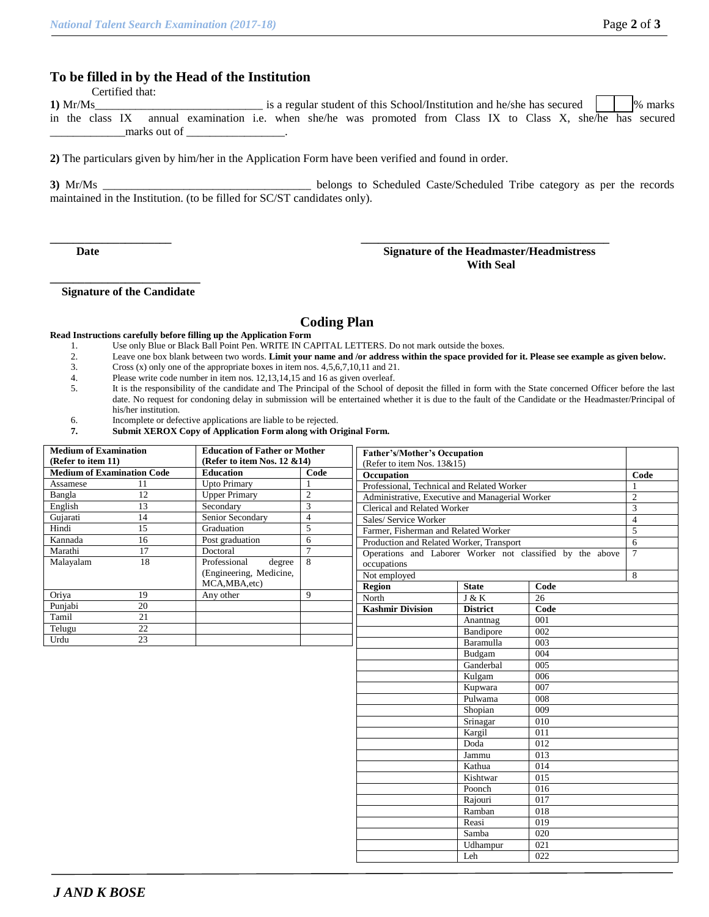## **To be filled in by the Head of the Institution**

Certified that:

**1)** Mr/Ms\_\_\_\_\_\_\_\_\_\_\_\_\_\_\_\_\_\_\_\_\_\_\_\_\_\_\_\_\_ is a regular student of this School/Institution and he/she has secured % marks in the class IX annual examination i.e. when she/he was promoted from Class IX to Class X, she/he has secured \_\_\_\_\_\_\_\_\_\_\_\_\_marks out of \_\_\_\_\_\_\_\_\_\_\_\_\_\_\_\_\_.

**2)** The particulars given by him/her in the Application Form have been verified and found in order.

**3)** Mr/Ms \_\_\_\_\_\_\_\_\_\_\_\_\_\_\_\_\_\_\_\_\_\_\_\_\_\_\_\_\_\_\_\_\_\_\_\_ belongs to Scheduled Caste/Scheduled Tribe category as per the records maintained in the Institution. (to be filled for SC/ST candidates only).

#### **Date Signature of the Headmaster/Headmistress With Seal**

**\_\_\_\_\_\_\_\_\_\_\_\_\_\_\_\_\_\_\_\_\_\_\_\_\_\_ Signature of the Candidate**

### **Coding Plan**

**\_\_\_\_\_\_\_\_\_\_\_\_\_\_\_\_\_\_\_\_\_ \_\_\_\_\_\_\_\_\_\_\_\_\_\_\_\_\_\_\_\_\_\_\_\_\_\_\_\_\_\_\_\_\_\_\_\_\_\_\_\_\_\_\_**

#### **Read Instructions carefully before filling up the Application Form**

- 1. Use only Blue or Black Ball Point Pen. WRITE IN CAPITAL LETTERS. Do not mark outside the boxes.
- 2. Leave one box blank between two words. **Limit your name and /or address within the space provided for it. Please see example as given below.**
- Cross  $(x)$  only one of the appropriate boxes in item nos.  $4,5,6,7,10,11$  and 21.
- 4. Please write code number in item nos. 12,13,14,15 and 16 as given overleaf.<br>5. It is the responsibility of the candidate and The Principal of the School of
- It is the responsibility of the candidate and The Principal of the School of deposit the filled in form with the State concerned Officer before the last date. No request for condoning delay in submission will be entertained whether it is due to the fault of the Candidate or the Headmaster/Principal of his/her institution.
- 6. Incomplete or defective applications are liable to be rejected.
- **7. Submit XEROX Copy of Application Form along with Original Form.**

| <b>Medium of Examination</b><br>(Refer to item 11) |                 | <b>Education of Father or Mother</b><br>(Refer to item Nos. 12 & 14) |                | <b>Father's/Mother's Occupation</b>                       |                                            |     |  |  |  |  |  |
|----------------------------------------------------|-----------------|----------------------------------------------------------------------|----------------|-----------------------------------------------------------|--------------------------------------------|-----|--|--|--|--|--|
| <b>Medium of Examination Code</b>                  |                 | <b>Education</b>                                                     | Code           | (Refer to item Nos. 13&15)                                |                                            |     |  |  |  |  |  |
| Assamese                                           | 11              | <b>Upto Primary</b>                                                  | -1             | Occupation                                                |                                            |     |  |  |  |  |  |
| Bangla                                             | 12              | <b>Upper Primary</b>                                                 | $\overline{2}$ |                                                           | Professional, Technical and Related Worker |     |  |  |  |  |  |
| English                                            | 13              | Secondary                                                            | 3              | Administrative, Executive and Managerial Worker           |                                            |     |  |  |  |  |  |
|                                                    | 14              |                                                                      | $\overline{4}$ | Clerical and Related Worker                               |                                            |     |  |  |  |  |  |
| Gujarati                                           |                 | Senior Secondary                                                     | 5              | Sales/ Service Worker                                     |                                            |     |  |  |  |  |  |
| 15<br>Hindi                                        |                 | Graduation                                                           |                | Farmer, Fisherman and Related Worker                      |                                            |     |  |  |  |  |  |
| 16<br>Kannada                                      |                 | Post graduation                                                      | 6              | Production and Related Worker, Transport                  |                                            |     |  |  |  |  |  |
| Marathi                                            | 17              | Doctoral                                                             | $\overline{7}$ | Operations and Laborer Worker not classified by the above |                                            |     |  |  |  |  |  |
| Malayalam                                          | 18              | Professional<br>degree                                               | 8              | occupations                                               |                                            |     |  |  |  |  |  |
|                                                    |                 | (Engineering, Medicine,                                              |                | Not employed                                              |                                            |     |  |  |  |  |  |
|                                                    |                 | MCA, MBA, etc)                                                       |                | Region                                                    | <b>State</b>                               |     |  |  |  |  |  |
| Oriya                                              | 19              | Any other                                                            | 9              | North                                                     | J & K                                      |     |  |  |  |  |  |
| Punjabi                                            | $\overline{20}$ |                                                                      |                | <b>Kashmir Division</b>                                   | <b>District</b>                            |     |  |  |  |  |  |
| Tamil                                              | $\overline{21}$ |                                                                      |                |                                                           | Anantnag                                   |     |  |  |  |  |  |
| Telugu                                             | $\overline{22}$ |                                                                      |                |                                                           | Bandipore                                  |     |  |  |  |  |  |
| Urdu                                               | $\overline{23}$ |                                                                      |                |                                                           | Baramulla                                  |     |  |  |  |  |  |
|                                                    |                 |                                                                      |                |                                                           | Budgam                                     |     |  |  |  |  |  |
|                                                    |                 |                                                                      |                |                                                           | Ganderbal                                  |     |  |  |  |  |  |
|                                                    |                 |                                                                      |                |                                                           | Kulgam                                     |     |  |  |  |  |  |
|                                                    |                 |                                                                      |                |                                                           | Kupwara                                    |     |  |  |  |  |  |
|                                                    |                 |                                                                      |                |                                                           | Pulwama                                    | 008 |  |  |  |  |  |
|                                                    |                 |                                                                      |                |                                                           | Shopian                                    | 009 |  |  |  |  |  |
|                                                    |                 |                                                                      |                |                                                           | Srinagar                                   | 010 |  |  |  |  |  |
|                                                    |                 |                                                                      |                |                                                           | Kargil                                     | 011 |  |  |  |  |  |
|                                                    |                 |                                                                      |                |                                                           | Doda                                       | 012 |  |  |  |  |  |
|                                                    |                 |                                                                      |                |                                                           | Jammu                                      | 013 |  |  |  |  |  |
|                                                    |                 |                                                                      |                |                                                           | Kathua                                     | 014 |  |  |  |  |  |
|                                                    |                 |                                                                      |                |                                                           | Kishtwar                                   | 015 |  |  |  |  |  |
|                                                    |                 |                                                                      |                |                                                           | Poonch                                     | 016 |  |  |  |  |  |
|                                                    |                 |                                                                      |                |                                                           | Rajouri                                    | 017 |  |  |  |  |  |
|                                                    |                 |                                                                      |                |                                                           | Ramban                                     | 018 |  |  |  |  |  |
|                                                    |                 |                                                                      |                |                                                           | Reasi                                      | 019 |  |  |  |  |  |
|                                                    |                 |                                                                      |                |                                                           | Samba                                      | 020 |  |  |  |  |  |
|                                                    |                 |                                                                      |                |                                                           | Udhampur                                   | 021 |  |  |  |  |  |
|                                                    |                 |                                                                      |                |                                                           | Leh                                        | 022 |  |  |  |  |  |